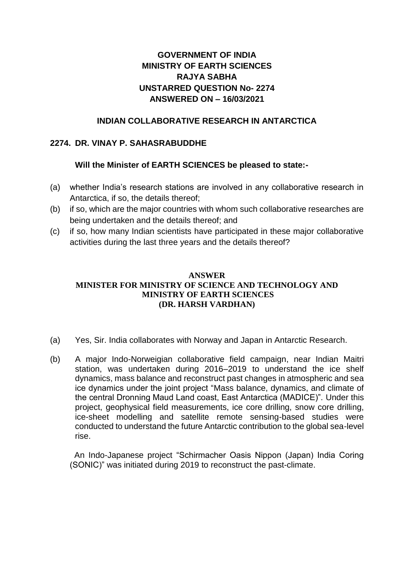# **GOVERNMENT OF INDIA MINISTRY OF EARTH SCIENCES RAJYA SABHA UNSTARRED QUESTION No- 2274 ANSWERED ON – 16/03/2021**

## **INDIAN COLLABORATIVE RESEARCH IN ANTARCTICA**

## **2274. DR. VINAY P. SAHASRABUDDHE**

## **Will the Minister of EARTH SCIENCES be pleased to state:-**

- (a) whether India's research stations are involved in any collaborative research in Antarctica, if so, the details thereof;
- (b) if so, which are the major countries with whom such collaborative researches are being undertaken and the details thereof; and
- (c) if so, how many Indian scientists have participated in these major collaborative activities during the last three years and the details thereof?

## **ANSWER MINISTER FOR MINISTRY OF SCIENCE AND TECHNOLOGY AND MINISTRY OF EARTH SCIENCES (DR. HARSH VARDHAN)**

- (a) Yes, Sir. India collaborates with Norway and Japan in Antarctic Research.
- (b) A major Indo-Norweigian collaborative field campaign, near Indian Maitri station, was undertaken during 2016–2019 to understand the ice shelf dynamics, mass balance and reconstruct past changes in atmospheric and sea ice dynamics under the joint project "Mass balance, dynamics, and climate of the central Dronning Maud Land coast, East Antarctica (MADICE)". Under this project, geophysical field measurements, ice core drilling, snow core drilling, ice-sheet modelling and satellite remote sensing-based studies were conducted to understand the future Antarctic contribution to the global sea-level rise.

 An Indo-Japanese project "Schirmacher Oasis Nippon (Japan) India Coring (SONIC)" was initiated during 2019 to reconstruct the past-climate.